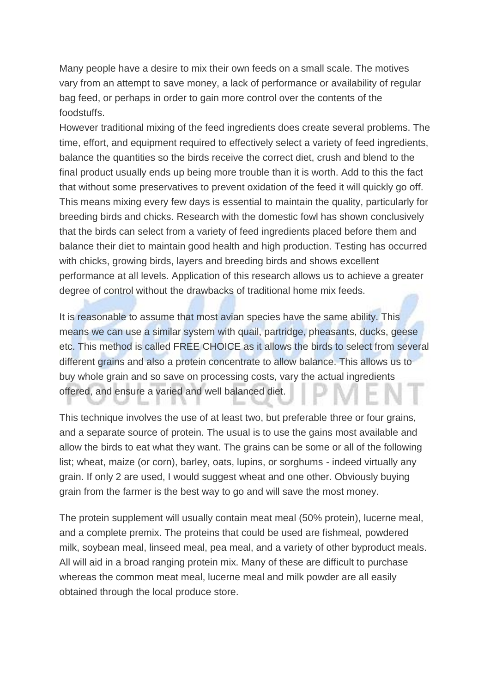Many people have a desire to mix their own feeds on a small scale. The motives vary from an attempt to save money, a lack of performance or availability of regular bag feed, or perhaps in order to gain more control over the contents of the foodstuffs.

However traditional mixing of the feed ingredients does create several problems. The time, effort, and equipment required to effectively select a variety of feed ingredients, balance the quantities so the birds receive the correct diet, crush and blend to the final product usually ends up being more trouble than it is worth. Add to this the fact that without some preservatives to prevent oxidation of the feed it will quickly go off. This means mixing every few days is essential to maintain the quality, particularly for breeding birds and chicks. Research with the domestic fowl has shown conclusively that the birds can select from a variety of feed ingredients placed before them and balance their diet to maintain good health and high production. Testing has occurred with chicks, growing birds, layers and breeding birds and shows excellent performance at all levels. Application of this research allows us to achieve a greater degree of control without the drawbacks of traditional home mix feeds.

It is reasonable to assume that most avian species have the same ability. This means we can use a similar system with quail, partridge, pheasants, ducks, geese etc. This method is called FREE CHOICE as it allows the birds to select from several different grains and also a protein concentrate to allow balance. This allows us to buy whole grain and so save on processing costs, vary the actual ingredients offered, and ensure a varied and well balanced diet.

This technique involves the use of at least two, but preferable three or four grains, and a separate source of protein. The usual is to use the gains most available and allow the birds to eat what they want. The grains can be some or all of the following list; wheat, maize (or corn), barley, oats, lupins, or sorghums - indeed virtually any grain. If only 2 are used, I would suggest wheat and one other. Obviously buying grain from the farmer is the best way to go and will save the most money.

The protein supplement will usually contain meat meal (50% protein), lucerne meal, and a complete premix. The proteins that could be used are fishmeal, powdered milk, soybean meal, linseed meal, pea meal, and a variety of other byproduct meals. All will aid in a broad ranging protein mix. Many of these are difficult to purchase whereas the common meat meal, lucerne meal and milk powder are all easily obtained through the local produce store.